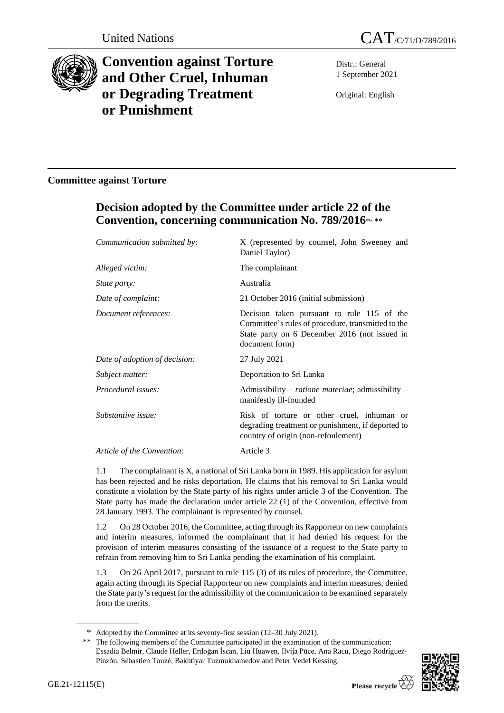



# **Convention against Torture and Other Cruel, Inhuman or Degrading Treatment or Punishment**

Distr.: General 1 September 2021

Original: English

# **Committee against Torture**

# **Decision adopted by the Committee under article 22 of the Convention, concerning communication No. 789/2016**\* , \*\*

| X (represented by counsel, John Sweeney and<br>Daniel Taylor)                                                                                                       |
|---------------------------------------------------------------------------------------------------------------------------------------------------------------------|
| The complainant                                                                                                                                                     |
| Australia                                                                                                                                                           |
| 21 October 2016 (initial submission)                                                                                                                                |
| Decision taken pursuant to rule 115 of the<br>Committee's rules of procedure, transmitted to the<br>State party on 6 December 2016 (not issued in<br>document form) |
| 27 July 2021                                                                                                                                                        |
| Deportation to Sri Lanka                                                                                                                                            |
| Admissibility - ratione materiae; admissibility -<br>manifestly ill-founded                                                                                         |
| Risk of torture or other cruel, inhuman or<br>degrading treatment or punishment, if deported to<br>country of origin (non-refoulement)                              |
| Article 3                                                                                                                                                           |
|                                                                                                                                                                     |

1.1 The complainant is X, a national of Sri Lanka born in 1989. His application for asylum has been rejected and he risks deportation. He claims that his removal to Sri Lanka would constitute a violation by the State party of his rights under article 3 of the Convention. The State party has made the declaration under article 22 (1) of the Convention, effective from 28 January 1993. The complainant is represented by counsel.

1.2 On 28 October 2016, the Committee, acting through its Rapporteur on new complaints and interim measures, informed the complainant that it had denied his request for the provision of interim measures consisting of the issuance of a request to the State party to refrain from removing him to Sri Lanka pending the examination of his complaint.

1.3 On 26 April 2017, pursuant to rule 115 (3) of its rules of procedure, the Committee, again acting through its Special Rapporteur on new complaints and interim measures, denied the State party's request for the admissibility of the communication to be examined separately from the merits.

<sup>\*\*</sup> The following members of the Committee participated in the examination of the communication: Essadia Belmir, Claude Heller, Erdoğan İscan, Liu Huawen, Ilvija Pūce, Ana Racu, Diego Rodríguez-Pinzón, Sébastien Touzé, Bakhtiyar Tuzmukhamedov and Peter Vedel Kessing.



<sup>\*</sup> Adopted by the Committee at its seventy-first session (12–30 July 2021).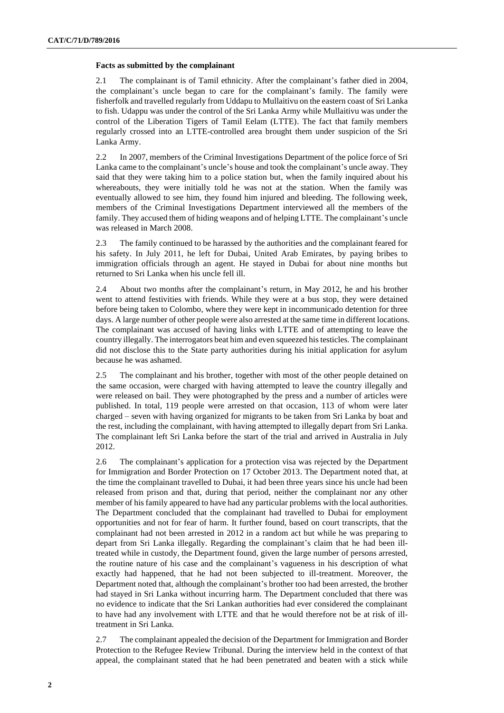## **Facts as submitted by the complainant**

2.1 The complainant is of Tamil ethnicity. After the complainant's father died in 2004, the complainant's uncle began to care for the complainant's family. The family were fisherfolk and travelled regularly from Uddapu to Mullaitivu on the eastern coast of Sri Lanka to fish. Udappu was under the control of the Sri Lanka Army while Mullaitivu was under the control of the Liberation Tigers of Tamil Eelam (LTTE). The fact that family members regularly crossed into an LTTE-controlled area brought them under suspicion of the Sri Lanka Army.

2.2 In 2007, members of the Criminal Investigations Department of the police force of Sri Lanka came to the complainant's uncle's house and took the complainant's uncle away. They said that they were taking him to a police station but, when the family inquired about his whereabouts, they were initially told he was not at the station. When the family was eventually allowed to see him, they found him injured and bleeding. The following week, members of the Criminal Investigations Department interviewed all the members of the family. They accused them of hiding weapons and of helping LTTE. The complainant's uncle was released in March 2008.

2.3 The family continued to be harassed by the authorities and the complainant feared for his safety. In July 2011, he left for Dubai, United Arab Emirates, by paying bribes to immigration officials through an agent. He stayed in Dubai for about nine months but returned to Sri Lanka when his uncle fell ill.

2.4 About two months after the complainant's return, in May 2012, he and his brother went to attend festivities with friends. While they were at a bus stop, they were detained before being taken to Colombo, where they were kept in incommunicado detention for three days. A large number of other people were also arrested at the same time in different locations. The complainant was accused of having links with LTTE and of attempting to leave the country illegally. The interrogators beat him and even squeezed his testicles. The complainant did not disclose this to the State party authorities during his initial application for asylum because he was ashamed.

2.5 The complainant and his brother, together with most of the other people detained on the same occasion, were charged with having attempted to leave the country illegally and were released on bail. They were photographed by the press and a number of articles were published. In total, 119 people were arrested on that occasion, 113 of whom were later charged – seven with having organized for migrants to be taken from Sri Lanka by boat and the rest, including the complainant, with having attempted to illegally depart from Sri Lanka. The complainant left Sri Lanka before the start of the trial and arrived in Australia in July 2012.

2.6 The complainant's application for a protection visa was rejected by the Department for Immigration and Border Protection on 17 October 2013. The Department noted that, at the time the complainant travelled to Dubai, it had been three years since his uncle had been released from prison and that, during that period, neither the complainant nor any other member of his family appeared to have had any particular problems with the local authorities. The Department concluded that the complainant had travelled to Dubai for employment opportunities and not for fear of harm. It further found, based on court transcripts, that the complainant had not been arrested in 2012 in a random act but while he was preparing to depart from Sri Lanka illegally. Regarding the complainant's claim that he had been illtreated while in custody, the Department found, given the large number of persons arrested, the routine nature of his case and the complainant's vagueness in his description of what exactly had happened, that he had not been subjected to ill-treatment. Moreover, the Department noted that, although the complainant's brother too had been arrested, the brother had stayed in Sri Lanka without incurring harm. The Department concluded that there was no evidence to indicate that the Sri Lankan authorities had ever considered the complainant to have had any involvement with LTTE and that he would therefore not be at risk of illtreatment in Sri Lanka.

2.7 The complainant appealed the decision of the Department for Immigration and Border Protection to the Refugee Review Tribunal. During the interview held in the context of that appeal, the complainant stated that he had been penetrated and beaten with a stick while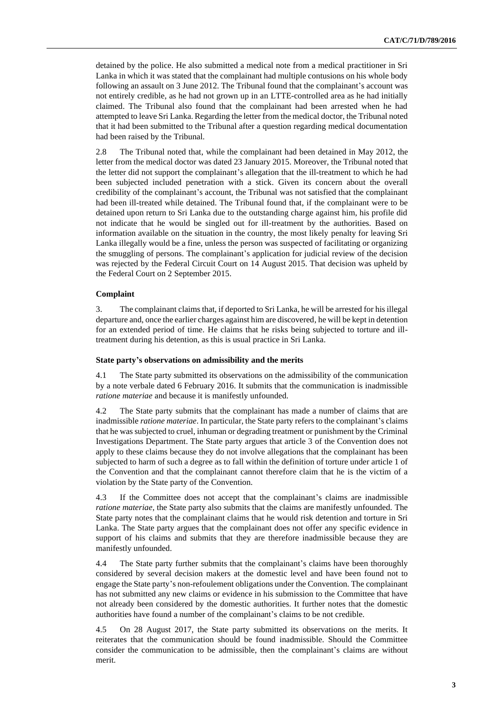detained by the police. He also submitted a medical note from a medical practitioner in Sri Lanka in which it was stated that the complainant had multiple contusions on his whole body following an assault on 3 June 2012. The Tribunal found that the complainant's account was not entirely credible, as he had not grown up in an LTTE-controlled area as he had initially claimed. The Tribunal also found that the complainant had been arrested when he had attempted to leave Sri Lanka. Regarding the letter from the medical doctor, the Tribunal noted that it had been submitted to the Tribunal after a question regarding medical documentation had been raised by the Tribunal.

2.8 The Tribunal noted that, while the complainant had been detained in May 2012, the letter from the medical doctor was dated 23 January 2015. Moreover, the Tribunal noted that the letter did not support the complainant's allegation that the ill-treatment to which he had been subjected included penetration with a stick. Given its concern about the overall credibility of the complainant's account, the Tribunal was not satisfied that the complainant had been ill-treated while detained. The Tribunal found that, if the complainant were to be detained upon return to Sri Lanka due to the outstanding charge against him, his profile did not indicate that he would be singled out for ill-treatment by the authorities. Based on information available on the situation in the country, the most likely penalty for leaving Sri Lanka illegally would be a fine, unless the person was suspected of facilitating or organizing the smuggling of persons. The complainant's application for judicial review of the decision was rejected by the Federal Circuit Court on 14 August 2015. That decision was upheld by the Federal Court on 2 September 2015.

### **Complaint**

3. The complainant claims that, if deported to Sri Lanka, he will be arrested for his illegal departure and, once the earlier charges against him are discovered, he will be kept in detention for an extended period of time. He claims that he risks being subjected to torture and illtreatment during his detention, as this is usual practice in Sri Lanka.

### **State party's observations on admissibility and the merits**

4.1 The State party submitted its observations on the admissibility of the communication by a note verbale dated 6 February 2016. It submits that the communication is inadmissible *ratione materiae* and because it is manifestly unfounded.

4.2 The State party submits that the complainant has made a number of claims that are inadmissible *ratione materiae*. In particular, the State party refers to the complainant's claims that he wassubjected to cruel, inhuman or degrading treatment or punishment by the Criminal Investigations Department. The State party argues that article 3 of the Convention does not apply to these claims because they do not involve allegations that the complainant has been subjected to harm of such a degree as to fall within the definition of torture under article 1 of the Convention and that the complainant cannot therefore claim that he is the victim of a violation by the State party of the Convention.

4.3 If the Committee does not accept that the complainant's claims are inadmissible *ratione materiae*, the State party also submits that the claims are manifestly unfounded. The State party notes that the complainant claims that he would risk detention and torture in Sri Lanka. The State party argues that the complainant does not offer any specific evidence in support of his claims and submits that they are therefore inadmissible because they are manifestly unfounded.

4.4 The State party further submits that the complainant's claims have been thoroughly considered by several decision makers at the domestic level and have been found not to engage the State party's non-refoulement obligations under the Convention. The complainant has not submitted any new claims or evidence in his submission to the Committee that have not already been considered by the domestic authorities. It further notes that the domestic authorities have found a number of the complainant's claims to be not credible.

4.5 On 28 August 2017, the State party submitted its observations on the merits. It reiterates that the communication should be found inadmissible. Should the Committee consider the communication to be admissible, then the complainant's claims are without merit.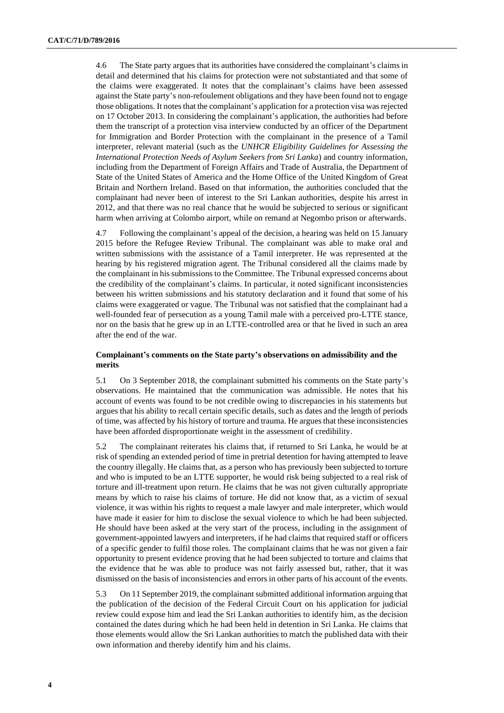4.6 The State party argues that its authorities have considered the complainant's claims in detail and determined that his claims for protection were not substantiated and that some of the claims were exaggerated. It notes that the complainant's claims have been assessed against the State party's non-refoulement obligations and they have been found not to engage those obligations. It notes that the complainant's application for a protection visa was rejected on 17 October 2013. In considering the complainant's application, the authorities had before them the transcript of a protection visa interview conducted by an officer of the Department for Immigration and Border Protection with the complainant in the presence of a Tamil interpreter, relevant material (such as the *UNHCR Eligibility Guidelines for Assessing the International Protection Needs of Asylum Seekers from Sri Lanka*) and country information, including from the Department of Foreign Affairs and Trade of Australia, the Department of State of the United States of America and the Home Office of the United Kingdom of Great Britain and Northern Ireland. Based on that information, the authorities concluded that the complainant had never been of interest to the Sri Lankan authorities, despite his arrest in 2012, and that there was no real chance that he would be subjected to serious or significant harm when arriving at Colombo airport, while on remand at Negombo prison or afterwards.

4.7 Following the complainant's appeal of the decision, a hearing was held on 15 January 2015 before the Refugee Review Tribunal. The complainant was able to make oral and written submissions with the assistance of a Tamil interpreter. He was represented at the hearing by his registered migration agent. The Tribunal considered all the claims made by the complainant in his submissions to the Committee. The Tribunal expressed concerns about the credibility of the complainant's claims. In particular, it noted significant inconsistencies between his written submissions and his statutory declaration and it found that some of his claims were exaggerated or vague. The Tribunal was not satisfied that the complainant had a well-founded fear of persecution as a young Tamil male with a perceived pro-LTTE stance, nor on the basis that he grew up in an LTTE-controlled area or that he lived in such an area after the end of the war.

# **Complainant's comments on the State party's observations on admissibility and the merits**

5.1 On 3 September 2018, the complainant submitted his comments on the State party's observations. He maintained that the communication was admissible. He notes that his account of events was found to be not credible owing to discrepancies in his statements but argues that his ability to recall certain specific details, such as dates and the length of periods of time, was affected by his history of torture and trauma. He argues that these inconsistencies have been afforded disproportionate weight in the assessment of credibility.

5.2 The complainant reiterates his claims that, if returned to Sri Lanka, he would be at risk of spending an extended period of time in pretrial detention for having attempted to leave the country illegally. He claims that, as a person who has previously been subjected to torture and who is imputed to be an LTTE supporter, he would risk being subjected to a real risk of torture and ill-treatment upon return. He claims that he was not given culturally appropriate means by which to raise his claims of torture. He did not know that, as a victim of sexual violence, it was within his rights to request a male lawyer and male interpreter, which would have made it easier for him to disclose the sexual violence to which he had been subjected. He should have been asked at the very start of the process, including in the assignment of government-appointed lawyers and interpreters, if he had claims that required staff or officers of a specific gender to fulfil those roles. The complainant claims that he was not given a fair opportunity to present evidence proving that he had been subjected to torture and claims that the evidence that he was able to produce was not fairly assessed but, rather, that it was dismissed on the basis of inconsistencies and errors in other parts of his account of the events.

5.3 On 11 September 2019, the complainant submitted additional information arguing that the publication of the decision of the Federal Circuit Court on his application for judicial review could expose him and lead the Sri Lankan authorities to identify him, as the decision contained the dates during which he had been held in detention in Sri Lanka. He claims that those elements would allow the Sri Lankan authorities to match the published data with their own information and thereby identify him and his claims.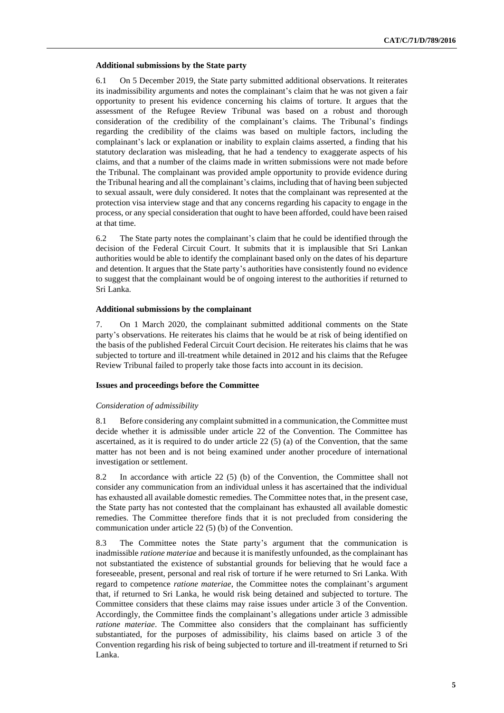#### **Additional submissions by the State party**

6.1 On 5 December 2019, the State party submitted additional observations. It reiterates its inadmissibility arguments and notes the complainant's claim that he was not given a fair opportunity to present his evidence concerning his claims of torture. It argues that the assessment of the Refugee Review Tribunal was based on a robust and thorough consideration of the credibility of the complainant's claims. The Tribunal's findings regarding the credibility of the claims was based on multiple factors, including the complainant's lack or explanation or inability to explain claims asserted, a finding that his statutory declaration was misleading, that he had a tendency to exaggerate aspects of his claims, and that a number of the claims made in written submissions were not made before the Tribunal. The complainant was provided ample opportunity to provide evidence during the Tribunal hearing and all the complainant's claims, including that of having been subjected to sexual assault, were duly considered. It notes that the complainant was represented at the protection visa interview stage and that any concerns regarding his capacity to engage in the process, or any special consideration that ought to have been afforded, could have been raised at that time.

6.2 The State party notes the complainant's claim that he could be identified through the decision of the Federal Circuit Court. It submits that it is implausible that Sri Lankan authorities would be able to identify the complainant based only on the dates of his departure and detention. It argues that the State party's authorities have consistently found no evidence to suggest that the complainant would be of ongoing interest to the authorities if returned to Sri Lanka.

#### **Additional submissions by the complainant**

7. On 1 March 2020, the complainant submitted additional comments on the State party's observations. He reiterates his claims that he would be at risk of being identified on the basis of the published Federal Circuit Court decision. He reiterates his claims that he was subjected to torture and ill-treatment while detained in 2012 and his claims that the Refugee Review Tribunal failed to properly take those facts into account in its decision.

# **Issues and proceedings before the Committee**

#### *Consideration of admissibility*

8.1 Before considering any complaint submitted in a communication, the Committee must decide whether it is admissible under article 22 of the Convention. The Committee has ascertained, as it is required to do under article  $22(5)$  (a) of the Convention, that the same matter has not been and is not being examined under another procedure of international investigation or settlement.

8.2 In accordance with article 22 (5) (b) of the Convention, the Committee shall not consider any communication from an individual unless it has ascertained that the individual has exhausted all available domestic remedies. The Committee notes that, in the present case, the State party has not contested that the complainant has exhausted all available domestic remedies. The Committee therefore finds that it is not precluded from considering the communication under article 22 (5) (b) of the Convention.

8.3 The Committee notes the State party's argument that the communication is inadmissible *ratione materiae* and because it is manifestly unfounded, as the complainant has not substantiated the existence of substantial grounds for believing that he would face a foreseeable, present, personal and real risk of torture if he were returned to Sri Lanka. With regard to competence *ratione materiae*, the Committee notes the complainant's argument that, if returned to Sri Lanka, he would risk being detained and subjected to torture. The Committee considers that these claims may raise issues under article 3 of the Convention. Accordingly, the Committee finds the complainant's allegations under article 3 admissible *ratione materiae*. The Committee also considers that the complainant has sufficiently substantiated, for the purposes of admissibility, his claims based on article 3 of the Convention regarding his risk of being subjected to torture and ill-treatment if returned to Sri Lanka.

**5**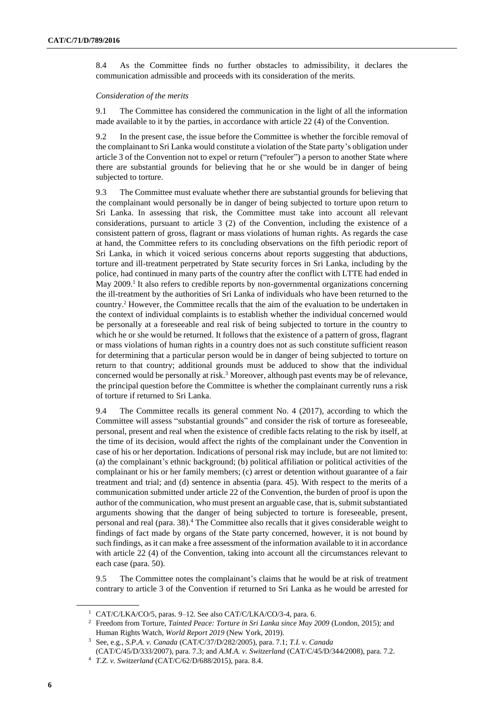8.4 As the Committee finds no further obstacles to admissibility, it declares the communication admissible and proceeds with its consideration of the merits.

#### *Consideration of the merits*

9.1 The Committee has considered the communication in the light of all the information made available to it by the parties, in accordance with article 22 (4) of the Convention.

9.2 In the present case, the issue before the Committee is whether the forcible removal of the complainant to Sri Lanka would constitute a violation of the State party's obligation under article 3 of the Convention not to expel or return ("refouler") a person to another State where there are substantial grounds for believing that he or she would be in danger of being subjected to torture.

9.3 The Committee must evaluate whether there are substantial grounds for believing that the complainant would personally be in danger of being subjected to torture upon return to Sri Lanka. In assessing that risk, the Committee must take into account all relevant considerations, pursuant to article 3 (2) of the Convention, including the existence of a consistent pattern of gross, flagrant or mass violations of human rights. As regards the case at hand, the Committee refers to its concluding observations on the fifth periodic report of Sri Lanka, in which it voiced serious concerns about reports suggesting that abductions, torture and ill-treatment perpetrated by State security forces in Sri Lanka, including by the police, had continued in many parts of the country after the conflict with LTTE had ended in May 2009.<sup>1</sup> It also refers to credible reports by non-governmental organizations concerning the ill-treatment by the authorities of Sri Lanka of individuals who have been returned to the country. <sup>2</sup> However, the Committee recalls that the aim of the evaluation to be undertaken in the context of individual complaints is to establish whether the individual concerned would be personally at a foreseeable and real risk of being subjected to torture in the country to which he or she would be returned. It follows that the existence of a pattern of gross, flagrant or mass violations of human rights in a country does not as such constitute sufficient reason for determining that a particular person would be in danger of being subjected to torture on return to that country; additional grounds must be adduced to show that the individual concerned would be personally at risk.<sup>3</sup> Moreover, although past events may be of relevance, the principal question before the Committee is whether the complainant currently runs a risk of torture if returned to Sri Lanka.

9.4 The Committee recalls its general comment No. 4 (2017), according to which the Committee will assess "substantial grounds" and consider the risk of torture as foreseeable, personal, present and real when the existence of credible facts relating to the risk by itself, at the time of its decision, would affect the rights of the complainant under the Convention in case of his or her deportation. Indications of personal risk may include, but are not limited to: (a) the complainant's ethnic background; (b) political affiliation or political activities of the complainant or his or her family members; (c) arrest or detention without guarantee of a fair treatment and trial; and (d) sentence in absentia (para. 45). With respect to the merits of a communication submitted under article 22 of the Convention, the burden of proof is upon the author of the communication, who must present an arguable case, that is, submit substantiated arguments showing that the danger of being subjected to torture is foreseeable, present, personal and real (para. 38).<sup>4</sup> The Committee also recalls that it gives considerable weight to findings of fact made by organs of the State party concerned, however, it is not bound by such findings, as it can make a free assessment of the information available to it in accordance with article 22 (4) of the Convention, taking into account all the circumstances relevant to each case (para. 50).

9.5 The Committee notes the complainant's claims that he would be at risk of treatment contrary to article 3 of the Convention if returned to Sri Lanka as he would be arrested for

<sup>1</sup> CAT/C/LKA/CO/5, paras. 9–12. See also CAT/C/LKA/CO/3-4, para. 6.

<sup>2</sup> Freedom from Torture, *Tainted Peace: Torture in Sri Lanka since May 2009* (London, 2015); and Human Rights Watch, *World Report 2019* (New York, 2019).

<sup>3</sup> See, e.g., *S.P.A. v. Canada* (CAT/C/37/D/282/2005), para. 7.1; *T.I. v. Canada*

<sup>(</sup>CAT/C/45/D/333/2007), para. 7.3; and *A.M.A. v. Switzerland* (CAT/C/45/D/344/2008), para. 7.2.

<sup>4</sup> *T.Z. v. Switzerland* (CAT/C/62/D/688/2015), para. 8.4.